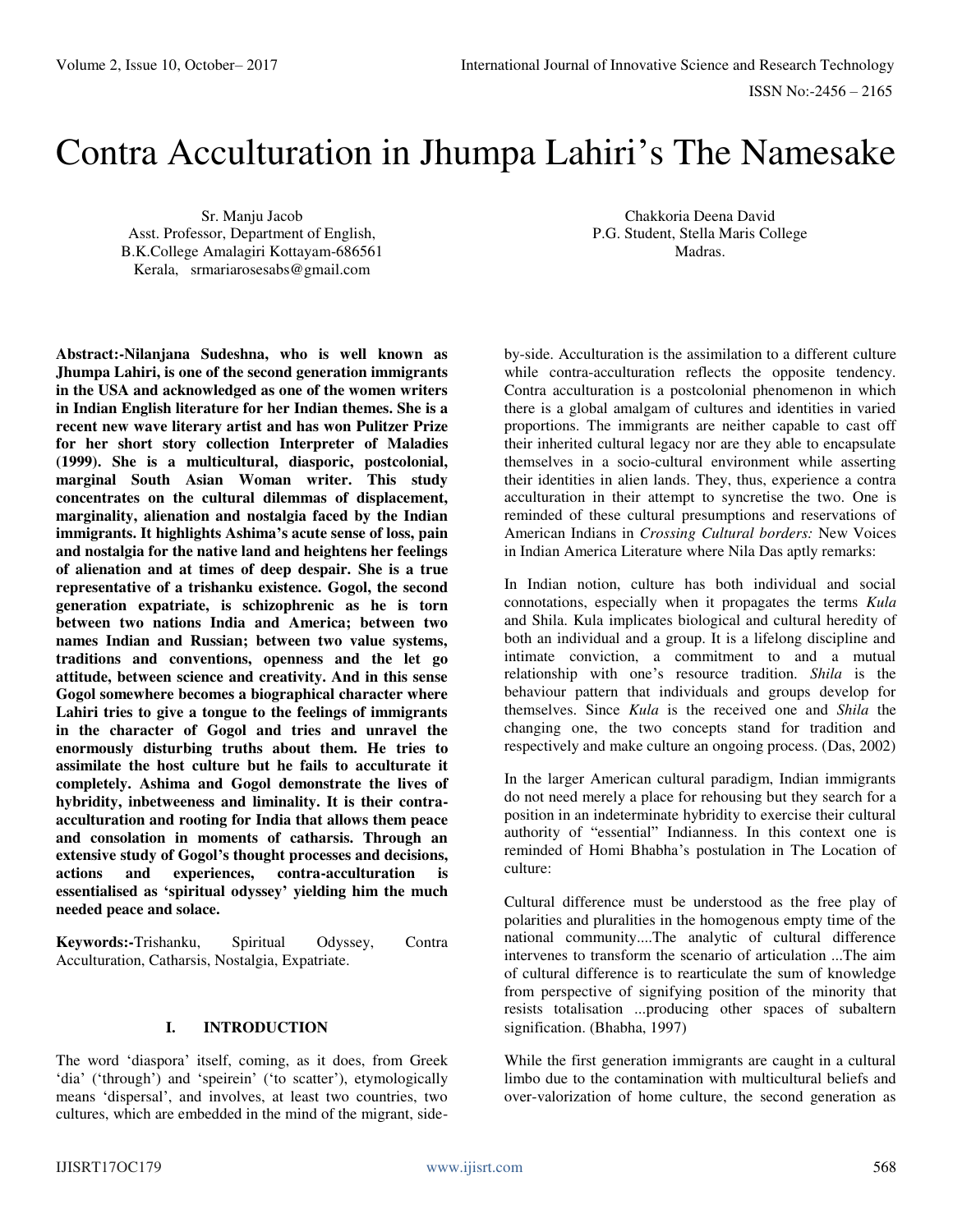# Contra Acculturation in Jhumpa Lahiri's The Namesake

Sr. Manju Jacob Asst. Professor, Department of English, B.K.College Amalagiri Kottayam-686561 Kerala, [srmariarosesabs@gmail.com](mailto:srmariarosesabs@gmail.com) 

**Abstract:-Nilanjana Sudeshna, who is well known as Jhumpa Lahiri, is one of the second generation immigrants in the USA and acknowledged as one of the women writers in Indian English literature for her Indian themes. She is a recent new wave literary artist and has won Pulitzer Prize for her short story collection Interpreter of Maladies (1999). She is a multicultural, diasporic, postcolonial, marginal South Asian Woman writer. This study concentrates on the cultural dilemmas of displacement, marginality, alienation and nostalgia faced by the Indian immigrants. It highlights Ashima's acute sense of loss, pain and nostalgia for the native land and heightens her feelings of alienation and at times of deep despair. She is a true representative of a trishanku existence. Gogol, the second generation expatriate, is schizophrenic as he is torn between two nations India and America; between two names Indian and Russian; between two value systems, traditions and conventions, openness and the let go attitude, between science and creativity. And in this sense Gogol somewhere becomes a biographical character where Lahiri tries to give a tongue to the feelings of immigrants in the character of Gogol and tries and unravel the enormously disturbing truths about them. He tries to assimilate the host culture but he fails to acculturate it completely. Ashima and Gogol demonstrate the lives of hybridity, inbetweeness and liminality. It is their contraacculturation and rooting for India that allows them peace and consolation in moments of catharsis. Through an extensive study of Gogol's thought processes and decisions, actions and experiences, contra-acculturation is essentialised as 'spiritual odyssey' yielding him the much needed peace and solace.** 

**Keywords:-**Trishanku, Spiritual Odyssey, Contra Acculturation, Catharsis, Nostalgia, Expatriate.

## **I. INTRODUCTION**

The word 'diaspora' itself, coming, as it does, from Greek 'dia' ('through') and 'speirein' ('to scatter'), etymologically means 'dispersal', and involves, at least two countries, two cultures, which are embedded in the mind of the migrant, side-

Chakkoria Deena David P.G. Student, Stella Maris College Madras.

by-side. Acculturation is the assimilation to a different culture while contra-acculturation reflects the opposite tendency. Contra acculturation is a postcolonial phenomenon in which there is a global amalgam of cultures and identities in varied proportions. The immigrants are neither capable to cast off their inherited cultural legacy nor are they able to encapsulate themselves in a socio-cultural environment while asserting their identities in alien lands. They, thus, experience a contra acculturation in their attempt to syncretise the two. One is reminded of these cultural presumptions and reservations of American Indians in *Crossing Cultural borders:* New Voices in Indian America Literature where Nila Das aptly remarks:

In Indian notion, culture has both individual and social connotations, especially when it propagates the terms *Kula* and Shila. Kula implicates biological and cultural heredity of both an individual and a group. It is a lifelong discipline and intimate conviction, a commitment to and a mutual relationship with one's resource tradition. *Shila* is the behaviour pattern that individuals and groups develop for themselves. Since *Kula* is the received one and *Shila* the changing one, the two concepts stand for tradition and respectively and make culture an ongoing process. (Das, 2002)

In the larger American cultural paradigm, Indian immigrants do not need merely a place for rehousing but they search for a position in an indeterminate hybridity to exercise their cultural authority of "essential" Indianness. In this context one is reminded of Homi Bhabha's postulation in The Location of culture:

Cultural difference must be understood as the free play of polarities and pluralities in the homogenous empty time of the national community....The analytic of cultural difference intervenes to transform the scenario of articulation ...The aim of cultural difference is to rearticulate the sum of knowledge from perspective of signifying position of the minority that resists totalisation ...producing other spaces of subaltern signification. (Bhabha, 1997)

While the first generation immigrants are caught in a cultural limbo due to the contamination with multicultural beliefs and over-valorization of home culture, the second generation as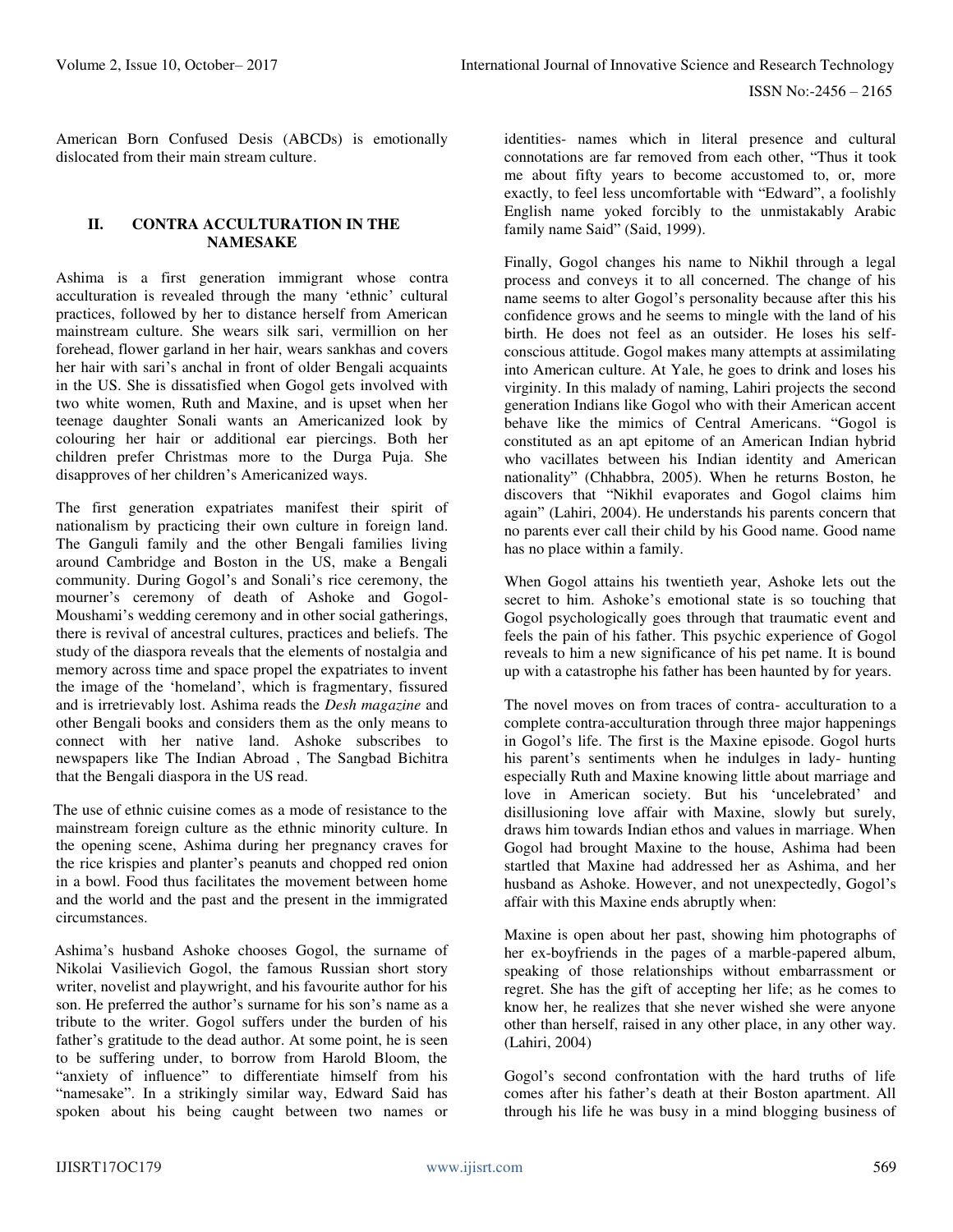American Born Confused Desis (ABCDs) is emotionally dislocated from their main stream culture.

#### **II. CONTRA ACCULTURATION IN THE NAMESAKE**

Ashima is a first generation immigrant whose contra acculturation is revealed through the many 'ethnic' cultural practices, followed by her to distance herself from American mainstream culture. She wears silk sari, vermillion on her forehead, flower garland in her hair, wears sankhas and covers her hair with sari's anchal in front of older Bengali acquaints in the US. She is dissatisfied when Gogol gets involved with two white women, Ruth and Maxine, and is upset when her teenage daughter Sonali wants an Americanized look by colouring her hair or additional ear piercings. Both her children prefer Christmas more to the Durga Puja. She disapproves of her children's Americanized ways.

The first generation expatriates manifest their spirit of nationalism by practicing their own culture in foreign land. The Ganguli family and the other Bengali families living around Cambridge and Boston in the US, make a Bengali community. During Gogol's and Sonali's rice ceremony, the mourner's ceremony of death of Ashoke and Gogol-Moushami's wedding ceremony and in other social gatherings, there is revival of ancestral cultures, practices and beliefs. The study of the diaspora reveals that the elements of nostalgia and memory across time and space propel the expatriates to invent the image of the 'homeland', which is fragmentary, fissured and is irretrievably lost. Ashima reads the *Desh magazine* and other Bengali books and considers them as the only means to connect with her native land. Ashoke subscribes to newspapers like The Indian Abroad , The Sangbad Bichitra that the Bengali diaspora in the US read.

 The use of ethnic cuisine comes as a mode of resistance to the mainstream foreign culture as the ethnic minority culture. In the opening scene, Ashima during her pregnancy craves for the rice krispies and planter's peanuts and chopped red onion in a bowl. Food thus facilitates the movement between home and the world and the past and the present in the immigrated circumstances.

 Ashima's husband Ashoke chooses Gogol, the surname of Nikolai Vasilievich Gogol, the famous Russian short story writer, novelist and playwright, and his favourite author for his son. He preferred the author's surname for his son's name as a tribute to the writer. Gogol suffers under the burden of his father's gratitude to the dead author. At some point, he is seen to be suffering under, to borrow from Harold Bloom, the "anxiety of influence" to differentiate himself from his "namesake". In a strikingly similar way, Edward Said has spoken about his being caught between two names or

identities- names which in literal presence and cultural connotations are far removed from each other, "Thus it took me about fifty years to become accustomed to, or, more exactly, to feel less uncomfortable with "Edward", a foolishly English name yoked forcibly to the unmistakably Arabic family name Said" (Said, 1999).

Finally, Gogol changes his name to Nikhil through a legal process and conveys it to all concerned. The change of his name seems to alter Gogol's personality because after this his confidence grows and he seems to mingle with the land of his birth. He does not feel as an outsider. He loses his selfconscious attitude. Gogol makes many attempts at assimilating into American culture. At Yale, he goes to drink and loses his virginity. In this malady of naming, Lahiri projects the second generation Indians like Gogol who with their American accent behave like the mimics of Central Americans. "Gogol is constituted as an apt epitome of an American Indian hybrid who vacillates between his Indian identity and American nationality" (Chhabbra, 2005). When he returns Boston, he discovers that "Nikhil evaporates and Gogol claims him again" (Lahiri, 2004). He understands his parents concern that no parents ever call their child by his Good name. Good name has no place within a family.

When Gogol attains his twentieth year, Ashoke lets out the secret to him. Ashoke's emotional state is so touching that Gogol psychologically goes through that traumatic event and feels the pain of his father. This psychic experience of Gogol reveals to him a new significance of his pet name. It is bound up with a catastrophe his father has been haunted by for years.

The novel moves on from traces of contra- acculturation to a complete contra-acculturation through three major happenings in Gogol's life. The first is the Maxine episode. Gogol hurts his parent's sentiments when he indulges in lady- hunting especially Ruth and Maxine knowing little about marriage and love in American society. But his 'uncelebrated' and disillusioning love affair with Maxine, slowly but surely, draws him towards Indian ethos and values in marriage. When Gogol had brought Maxine to the house, Ashima had been startled that Maxine had addressed her as Ashima, and her husband as Ashoke. However, and not unexpectedly, Gogol's affair with this Maxine ends abruptly when:

Maxine is open about her past, showing him photographs of her ex-boyfriends in the pages of a marble-papered album, speaking of those relationships without embarrassment or regret. She has the gift of accepting her life; as he comes to know her, he realizes that she never wished she were anyone other than herself, raised in any other place, in any other way. (Lahiri, 2004)

Gogol's second confrontation with the hard truths of life comes after his father's death at their Boston apartment. All through his life he was busy in a mind blogging business of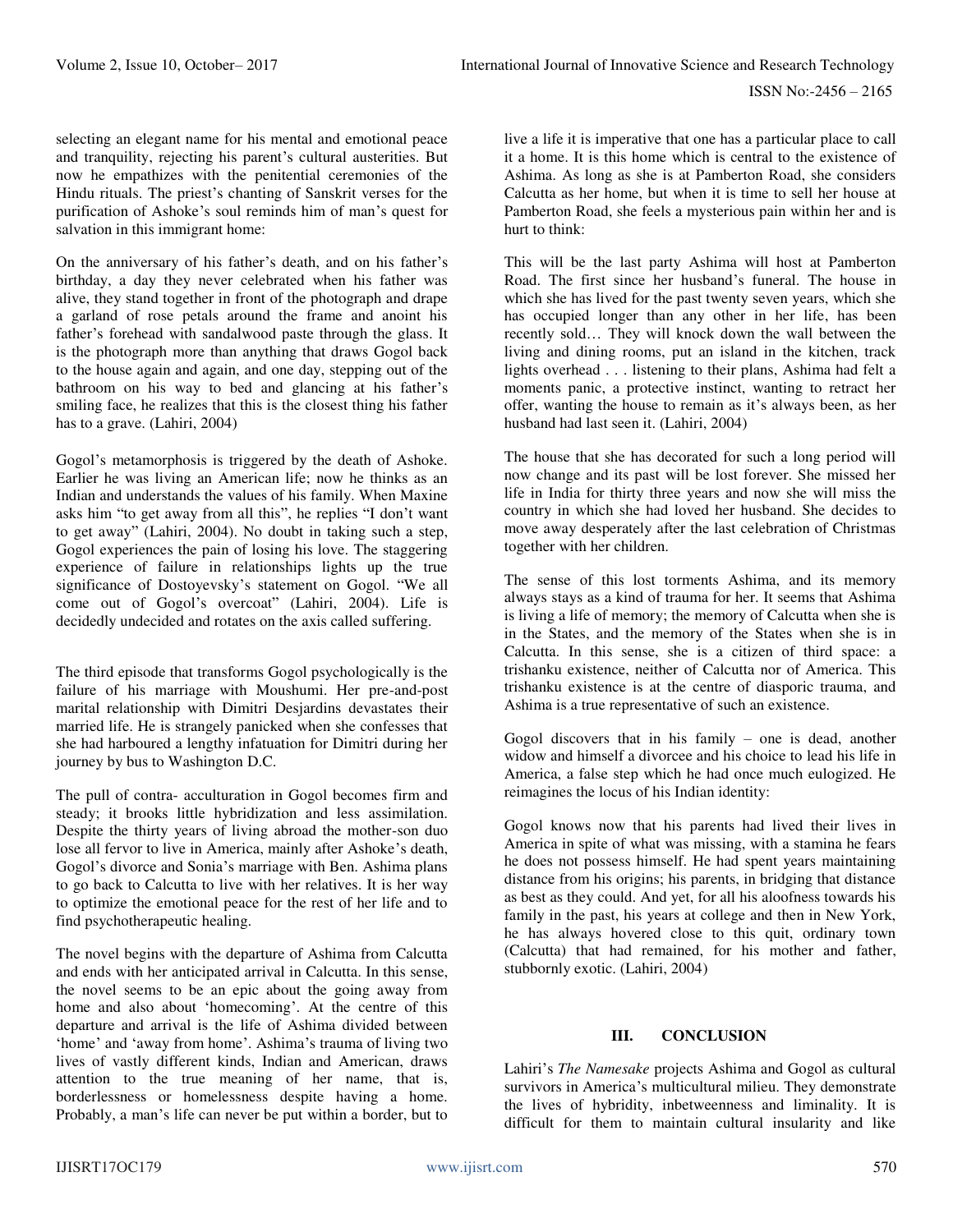selecting an elegant name for his mental and emotional peace and tranquility, rejecting his parent's cultural austerities. But now he empathizes with the penitential ceremonies of the Hindu rituals. The priest's chanting of Sanskrit verses for the purification of Ashoke's soul reminds him of man's quest for salvation in this immigrant home:

On the anniversary of his father's death, and on his father's birthday, a day they never celebrated when his father was alive, they stand together in front of the photograph and drape a garland of rose petals around the frame and anoint his father's forehead with sandalwood paste through the glass. It is the photograph more than anything that draws Gogol back to the house again and again, and one day, stepping out of the bathroom on his way to bed and glancing at his father's smiling face, he realizes that this is the closest thing his father has to a grave. (Lahiri, 2004)

Gogol's metamorphosis is triggered by the death of Ashoke. Earlier he was living an American life; now he thinks as an Indian and understands the values of his family. When Maxine asks him "to get away from all this", he replies "I don't want to get away" (Lahiri, 2004). No doubt in taking such a step, Gogol experiences the pain of losing his love. The staggering experience of failure in relationships lights up the true significance of Dostoyevsky's statement on Gogol. "We all come out of Gogol's overcoat" (Lahiri, 2004). Life is decidedly undecided and rotates on the axis called suffering.

The third episode that transforms Gogol psychologically is the failure of his marriage with Moushumi. Her pre-and-post marital relationship with Dimitri Desjardins devastates their married life. He is strangely panicked when she confesses that she had harboured a lengthy infatuation for Dimitri during her journey by bus to Washington D.C.

The pull of contra- acculturation in Gogol becomes firm and steady; it brooks little hybridization and less assimilation. Despite the thirty years of living abroad the mother-son duo lose all fervor to live in America, mainly after Ashoke's death, Gogol's divorce and Sonia's marriage with Ben. Ashima plans to go back to Calcutta to live with her relatives. It is her way to optimize the emotional peace for the rest of her life and to find psychotherapeutic healing.

The novel begins with the departure of Ashima from Calcutta and ends with her anticipated arrival in Calcutta. In this sense, the novel seems to be an epic about the going away from home and also about 'homecoming'. At the centre of this departure and arrival is the life of Ashima divided between 'home' and 'away from home'. Ashima's trauma of living two lives of vastly different kinds, Indian and American, draws attention to the true meaning of her name, that is, borderlessness or homelessness despite having a home. Probably, a man's life can never be put within a border, but to

live a life it is imperative that one has a particular place to call it a home. It is this home which is central to the existence of Ashima. As long as she is at Pamberton Road, she considers Calcutta as her home, but when it is time to sell her house at Pamberton Road, she feels a mysterious pain within her and is hurt to think:

This will be the last party Ashima will host at Pamberton Road. The first since her husband's funeral. The house in which she has lived for the past twenty seven years, which she has occupied longer than any other in her life, has been recently sold… They will knock down the wall between the living and dining rooms, put an island in the kitchen, track lights overhead . . . listening to their plans, Ashima had felt a moments panic, a protective instinct, wanting to retract her offer, wanting the house to remain as it's always been, as her husband had last seen it. (Lahiri, 2004)

The house that she has decorated for such a long period will now change and its past will be lost forever. She missed her life in India for thirty three years and now she will miss the country in which she had loved her husband. She decides to move away desperately after the last celebration of Christmas together with her children.

The sense of this lost torments Ashima, and its memory always stays as a kind of trauma for her. It seems that Ashima is living a life of memory; the memory of Calcutta when she is in the States, and the memory of the States when she is in Calcutta. In this sense, she is a citizen of third space: a trishanku existence, neither of Calcutta nor of America. This trishanku existence is at the centre of diasporic trauma, and Ashima is a true representative of such an existence.

Gogol discovers that in his family – one is dead, another widow and himself a divorcee and his choice to lead his life in America, a false step which he had once much eulogized. He reimagines the locus of his Indian identity:

Gogol knows now that his parents had lived their lives in America in spite of what was missing, with a stamina he fears he does not possess himself. He had spent years maintaining distance from his origins; his parents, in bridging that distance as best as they could. And yet, for all his aloofness towards his family in the past, his years at college and then in New York, he has always hovered close to this quit, ordinary town (Calcutta) that had remained, for his mother and father, stubbornly exotic. (Lahiri, 2004)

### **III. CONCLUSION**

Lahiri's *The Namesake* projects Ashima and Gogol as cultural survivors in America's multicultural milieu. They demonstrate the lives of hybridity, inbetweenness and liminality. It is difficult for them to maintain cultural insularity and like